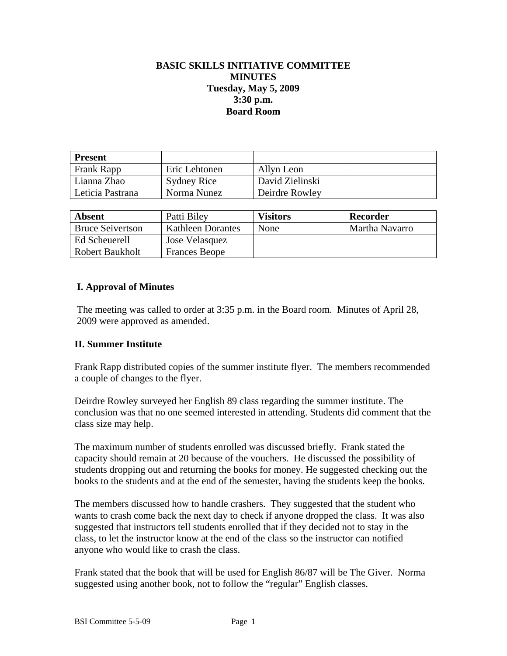# **BASIC SKILLS INITIATIVE COMMITTEE MINUTES Tuesday, May 5, 2009 3:30 p.m. Board Room**

| <b>Present</b>   |                    |                 |  |
|------------------|--------------------|-----------------|--|
| Frank Rapp       | Eric Lehtonen      | Allyn Leon      |  |
| Lianna Zhao      | <b>Sydney Rice</b> | David Zielinski |  |
| Leticia Pastrana | Norma Nunez        | Deirdre Rowley  |  |

| <b>Absent</b>           | Patti Biley              | Visitors | Recorder       |
|-------------------------|--------------------------|----------|----------------|
| <b>Bruce Seivertson</b> | <b>Kathleen Dorantes</b> | None     | Martha Navarro |
| Ed Scheuerell           | Jose Velasquez           |          |                |
| Robert Baukholt         | <b>Frances Beope</b>     |          |                |

### **I. Approval of Minutes**

The meeting was called to order at 3:35 p.m. in the Board room. Minutes of April 28, 2009 were approved as amended.

#### **II. Summer Institute**

Frank Rapp distributed copies of the summer institute flyer. The members recommended a couple of changes to the flyer.

Deirdre Rowley surveyed her English 89 class regarding the summer institute. The conclusion was that no one seemed interested in attending. Students did comment that the class size may help.

The maximum number of students enrolled was discussed briefly. Frank stated the capacity should remain at 20 because of the vouchers. He discussed the possibility of students dropping out and returning the books for money. He suggested checking out the books to the students and at the end of the semester, having the students keep the books.

The members discussed how to handle crashers. They suggested that the student who wants to crash come back the next day to check if anyone dropped the class. It was also suggested that instructors tell students enrolled that if they decided not to stay in the class, to let the instructor know at the end of the class so the instructor can notified anyone who would like to crash the class.

Frank stated that the book that will be used for English 86/87 will be The Giver. Norma suggested using another book, not to follow the "regular" English classes.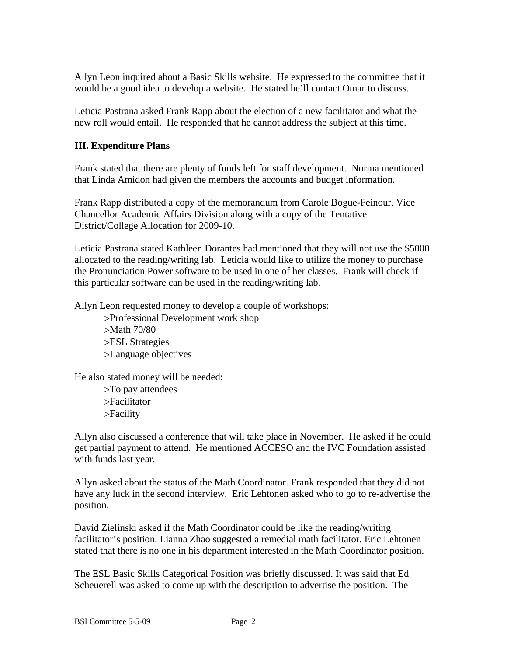Allyn Leon inquired about a Basic Skills website. He expressed to the committee that it would be a good idea to develop a website. He stated he'll contact Omar to discuss.

Leticia Pastrana asked Frank Rapp about the election of a new facilitator and what the new roll would entail. He responded that he cannot address the subject at this time.

## **III. Expenditure Plans**

Frank stated that there are plenty of funds left for staff development. Norma mentioned that Linda Amidon had given the members the accounts and budget information.

Frank Rapp distributed a copy of the memorandum from Carole Bogue-Feinour, Vice Chancellor Academic Affairs Division along with a copy of the Tentative District/College Allocation for 2009-10.

Leticia Pastrana stated Kathleen Dorantes had mentioned that they will not use the \$5000 allocated to the reading/writing lab. Leticia would like to utilize the money to purchase the Pronunciation Power software to be used in one of her classes. Frank will check if this particular software can be used in the reading/writing lab.

Allyn Leon requested money to develop a couple of workshops:

Professional Development work shop Math 70/80 ESL Strategies Language objectives

He also stated money will be needed:

To pay attendees Facilitator Facility

Allyn also discussed a conference that will take place in November. He asked if he could get partial payment to attend. He mentioned ACCESO and the IVC Foundation assisted with funds last year.

Allyn asked about the status of the Math Coordinator. Frank responded that they did not have any luck in the second interview. Eric Lehtonen asked who to go to re-advertise the position.

David Zielinski asked if the Math Coordinator could be like the reading/writing facilitator's position. Lianna Zhao suggested a remedial math facilitator. Eric Lehtonen stated that there is no one in his department interested in the Math Coordinator position.

The ESL Basic Skills Categorical Position was briefly discussed. It was said that Ed Scheuerell was asked to come up with the description to advertise the position. The